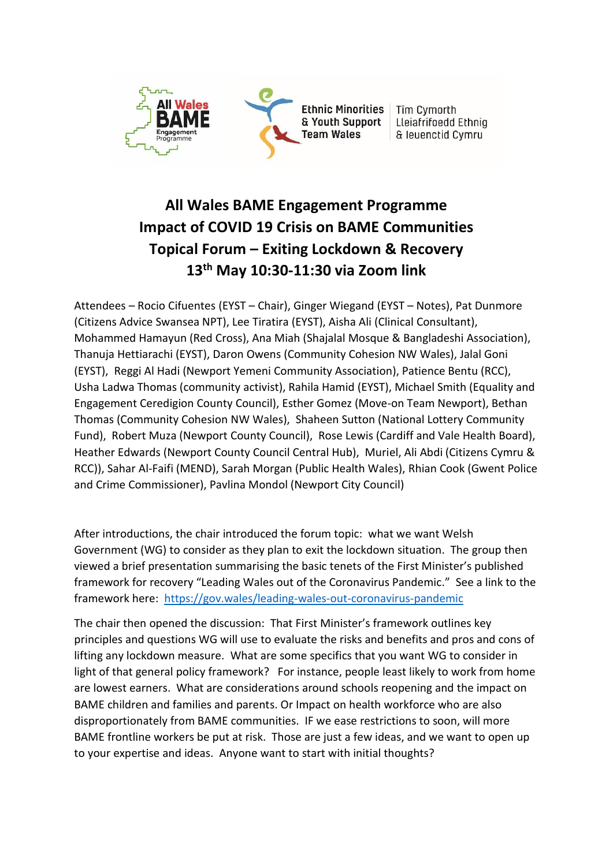

# **All Wales BAME Engagement Programme Impact of COVID 19 Crisis on BAME Communities Topical Forum – Exiting Lockdown & Recovery 13 th May 10:30-11:30 via Zoom link**

Attendees – Rocio Cifuentes (EYST – Chair), Ginger Wiegand (EYST – Notes), Pat Dunmore (Citizens Advice Swansea NPT), Lee Tiratira (EYST), Aisha Ali (Clinical Consultant), Mohammed Hamayun (Red Cross), Ana Miah (Shajalal Mosque & Bangladeshi Association), Thanuja Hettiarachi (EYST), Daron Owens (Community Cohesion NW Wales), Jalal Goni (EYST), Reggi Al Hadi (Newport Yemeni Community Association), Patience Bentu (RCC), Usha Ladwa Thomas (community activist), Rahila Hamid (EYST), Michael Smith (Equality and Engagement Ceredigion County Council), Esther Gomez (Move-on Team Newport), Bethan Thomas (Community Cohesion NW Wales), Shaheen Sutton (National Lottery Community Fund), Robert Muza (Newport County Council), Rose Lewis (Cardiff and Vale Health Board), Heather Edwards (Newport County Council Central Hub), Muriel, Ali Abdi (Citizens Cymru & RCC)), Sahar Al-Faifi (MEND), Sarah Morgan (Public Health Wales), Rhian Cook (Gwent Police and Crime Commissioner), Pavlina Mondol (Newport City Council)

After introductions, the chair introduced the forum topic: what we want Welsh Government (WG) to consider as they plan to exit the lockdown situation. The group then viewed a brief presentation summarising the basic tenets of the First Minister's published framework for recovery "Leading Wales out of the Coronavirus Pandemic." See a link to the framework here: <https://gov.wales/leading-wales-out-coronavirus-pandemic>

The chair then opened the discussion: That First Minister's framework outlines key principles and questions WG will use to evaluate the risks and benefits and pros and cons of lifting any lockdown measure. What are some specifics that you want WG to consider in light of that general policy framework? For instance, people least likely to work from home are lowest earners. What are considerations around schools reopening and the impact on BAME children and families and parents. Or Impact on health workforce who are also disproportionately from BAME communities. IF we ease restrictions to soon, will more BAME frontline workers be put at risk. Those are just a few ideas, and we want to open up to your expertise and ideas. Anyone want to start with initial thoughts?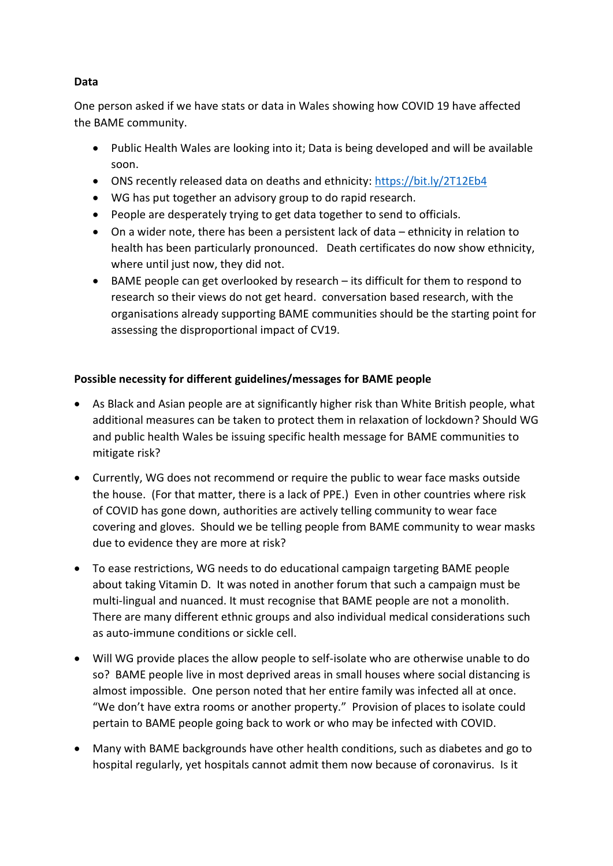# **Data**

One person asked if we have stats or data in Wales showing how COVID 19 have affected the BAME community.

- Public Health Wales are looking into it; Data is being developed and will be available soon.
- ONS recently released data on deaths and ethnicity:<https://bit.ly/2T12Eb4>
- WG has put together an advisory group to do rapid research.
- People are desperately trying to get data together to send to officials.
- On a wider note, there has been a persistent lack of data ethnicity in relation to health has been particularly pronounced. Death certificates do now show ethnicity, where until just now, they did not.
- BAME people can get overlooked by research its difficult for them to respond to research so their views do not get heard. conversation based research, with the organisations already supporting BAME communities should be the starting point for assessing the disproportional impact of CV19.

# **Possible necessity for different guidelines/messages for BAME people**

- As Black and Asian people are at significantly higher risk than White British people, what additional measures can be taken to protect them in relaxation of lockdown? Should WG and public health Wales be issuing specific health message for BAME communities to mitigate risk?
- Currently, WG does not recommend or require the public to wear face masks outside the house. (For that matter, there is a lack of PPE.) Even in other countries where risk of COVID has gone down, authorities are actively telling community to wear face covering and gloves. Should we be telling people from BAME community to wear masks due to evidence they are more at risk?
- To ease restrictions, WG needs to do educational campaign targeting BAME people about taking Vitamin D. It was noted in another forum that such a campaign must be multi-lingual and nuanced. It must recognise that BAME people are not a monolith. There are many different ethnic groups and also individual medical considerations such as auto-immune conditions or sickle cell.
- Will WG provide places the allow people to self-isolate who are otherwise unable to do so? BAME people live in most deprived areas in small houses where social distancing is almost impossible. One person noted that her entire family was infected all at once. "We don't have extra rooms or another property." Provision of places to isolate could pertain to BAME people going back to work or who may be infected with COVID.
- Many with BAME backgrounds have other health conditions, such as diabetes and go to hospital regularly, yet hospitals cannot admit them now because of coronavirus. Is it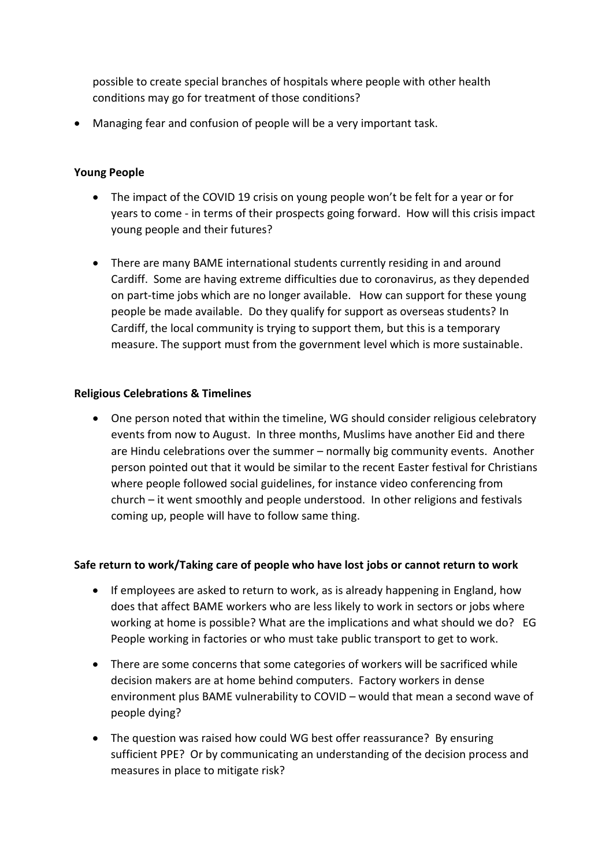possible to create special branches of hospitals where people with other health conditions may go for treatment of those conditions?

• Managing fear and confusion of people will be a very important task.

# **Young People**

- The impact of the COVID 19 crisis on young people won't be felt for a year or for years to come - in terms of their prospects going forward. How will this crisis impact young people and their futures?
- There are many BAME international students currently residing in and around Cardiff. Some are having extreme difficulties due to coronavirus, as they depended on part-time jobs which are no longer available. How can support for these young people be made available. Do they qualify for support as overseas students? In Cardiff, the local community is trying to support them, but this is a temporary measure. The support must from the government level which is more sustainable.

#### **Religious Celebrations & Timelines**

• One person noted that within the timeline, WG should consider religious celebratory events from now to August. In three months, Muslims have another Eid and there are Hindu celebrations over the summer – normally big community events. Another person pointed out that it would be similar to the recent Easter festival for Christians where people followed social guidelines, for instance video conferencing from church – it went smoothly and people understood. In other religions and festivals coming up, people will have to follow same thing.

## **Safe return to work/Taking care of people who have lost jobs or cannot return to work**

- If employees are asked to return to work, as is already happening in England, how does that affect BAME workers who are less likely to work in sectors or jobs where working at home is possible? What are the implications and what should we do? EG People working in factories or who must take public transport to get to work.
- There are some concerns that some categories of workers will be sacrificed while decision makers are at home behind computers. Factory workers in dense environment plus BAME vulnerability to COVID – would that mean a second wave of people dying?
- The question was raised how could WG best offer reassurance? By ensuring sufficient PPE? Or by communicating an understanding of the decision process and measures in place to mitigate risk?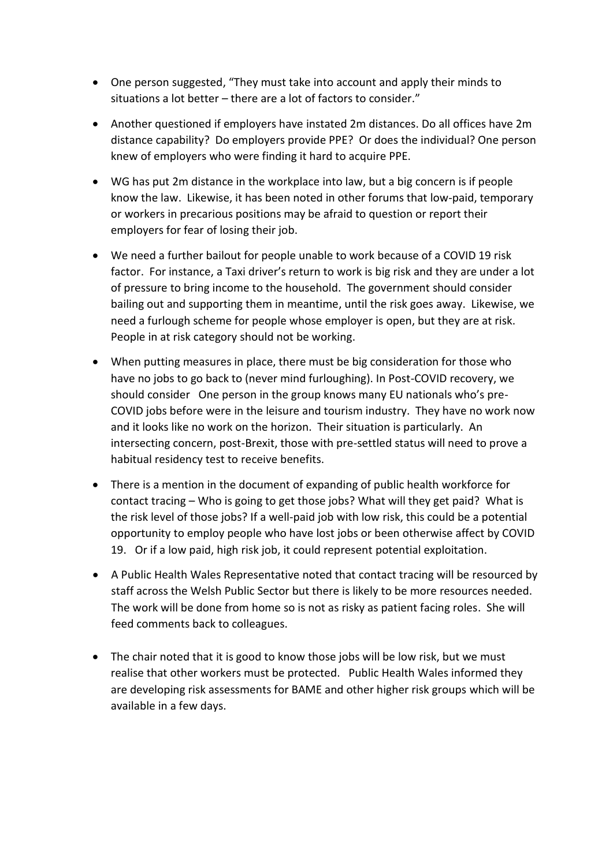- One person suggested, "They must take into account and apply their minds to situations a lot better – there are a lot of factors to consider."
- Another questioned if employers have instated 2m distances. Do all offices have 2m distance capability? Do employers provide PPE? Or does the individual? One person knew of employers who were finding it hard to acquire PPE.
- WG has put 2m distance in the workplace into law, but a big concern is if people know the law. Likewise, it has been noted in other forums that low-paid, temporary or workers in precarious positions may be afraid to question or report their employers for fear of losing their job.
- We need a further bailout for people unable to work because of a COVID 19 risk factor. For instance, a Taxi driver's return to work is big risk and they are under a lot of pressure to bring income to the household. The government should consider bailing out and supporting them in meantime, until the risk goes away. Likewise, we need a furlough scheme for people whose employer is open, but they are at risk. People in at risk category should not be working.
- When putting measures in place, there must be big consideration for those who have no jobs to go back to (never mind furloughing). In Post-COVID recovery, we should consider One person in the group knows many EU nationals who's pre-COVID jobs before were in the leisure and tourism industry. They have no work now and it looks like no work on the horizon. Their situation is particularly. An intersecting concern, post-Brexit, those with pre-settled status will need to prove a habitual residency test to receive benefits.
- There is a mention in the document of expanding of public health workforce for contact tracing – Who is going to get those jobs? What will they get paid? What is the risk level of those jobs? If a well-paid job with low risk, this could be a potential opportunity to employ people who have lost jobs or been otherwise affect by COVID 19. Or if a low paid, high risk job, it could represent potential exploitation.
- A Public Health Wales Representative noted that contact tracing will be resourced by staff across the Welsh Public Sector but there is likely to be more resources needed. The work will be done from home so is not as risky as patient facing roles. She will feed comments back to colleagues.
- The chair noted that it is good to know those jobs will be low risk, but we must realise that other workers must be protected. Public Health Wales informed they are developing risk assessments for BAME and other higher risk groups which will be available in a few days.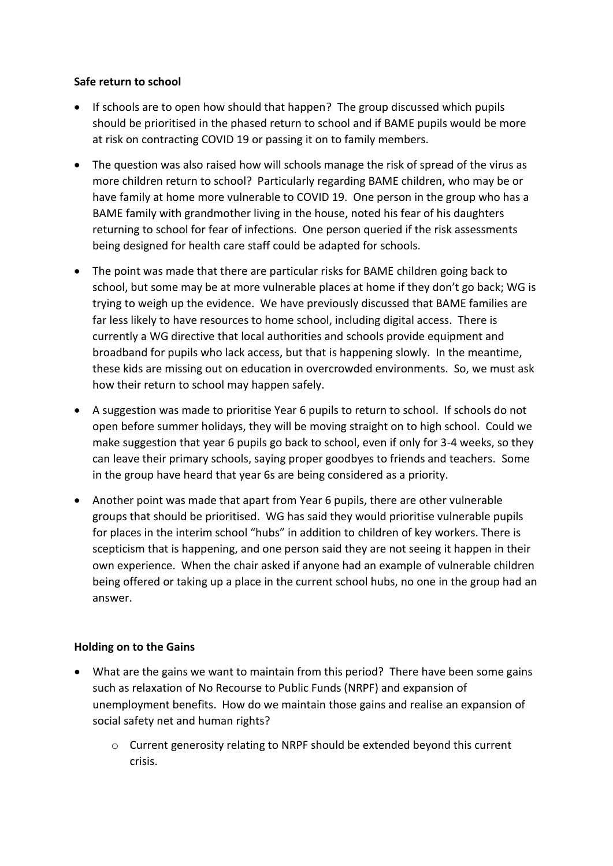#### **Safe return to school**

- If schools are to open how should that happen? The group discussed which pupils should be prioritised in the phased return to school and if BAME pupils would be more at risk on contracting COVID 19 or passing it on to family members.
- The question was also raised how will schools manage the risk of spread of the virus as more children return to school? Particularly regarding BAME children, who may be or have family at home more vulnerable to COVID 19. One person in the group who has a BAME family with grandmother living in the house, noted his fear of his daughters returning to school for fear of infections. One person queried if the risk assessments being designed for health care staff could be adapted for schools.
- The point was made that there are particular risks for BAME children going back to school, but some may be at more vulnerable places at home if they don't go back; WG is trying to weigh up the evidence. We have previously discussed that BAME families are far less likely to have resources to home school, including digital access. There is currently a WG directive that local authorities and schools provide equipment and broadband for pupils who lack access, but that is happening slowly. In the meantime, these kids are missing out on education in overcrowded environments. So, we must ask how their return to school may happen safely.
- A suggestion was made to prioritise Year 6 pupils to return to school. If schools do not open before summer holidays, they will be moving straight on to high school. Could we make suggestion that year 6 pupils go back to school, even if only for 3-4 weeks, so they can leave their primary schools, saying proper goodbyes to friends and teachers. Some in the group have heard that year 6s are being considered as a priority.
- Another point was made that apart from Year 6 pupils, there are other vulnerable groups that should be prioritised. WG has said they would prioritise vulnerable pupils for places in the interim school "hubs" in addition to children of key workers. There is scepticism that is happening, and one person said they are not seeing it happen in their own experience. When the chair asked if anyone had an example of vulnerable children being offered or taking up a place in the current school hubs, no one in the group had an answer.

## **Holding on to the Gains**

- What are the gains we want to maintain from this period? There have been some gains such as relaxation of No Recourse to Public Funds (NRPF) and expansion of unemployment benefits. How do we maintain those gains and realise an expansion of social safety net and human rights?
	- o Current generosity relating to NRPF should be extended beyond this current crisis.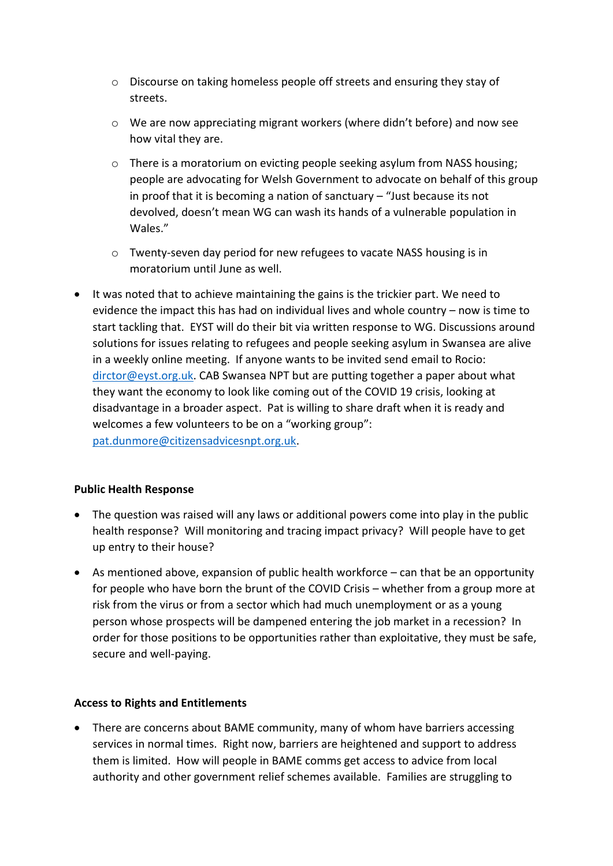- o Discourse on taking homeless people off streets and ensuring they stay of streets.
- o We are now appreciating migrant workers (where didn't before) and now see how vital they are.
- o There is a moratorium on evicting people seeking asylum from NASS housing; people are advocating for Welsh Government to advocate on behalf of this group in proof that it is becoming a nation of sanctuary – "Just because its not devolved, doesn't mean WG can wash its hands of a vulnerable population in Wales."
- o Twenty-seven day period for new refugees to vacate NASS housing is in moratorium until June as well.
- It was noted that to achieve maintaining the gains is the trickier part. We need to evidence the impact this has had on individual lives and whole country – now is time to start tackling that. EYST will do their bit via written response to WG. Discussions around solutions for issues relating to refugees and people seeking asylum in Swansea are alive in a weekly online meeting. If anyone wants to be invited send email to Rocio: [dirctor@eyst.org.uk.](mailto:dirctor@eyst.org.uk) CAB Swansea NPT but are putting together a paper about what they want the economy to look like coming out of the COVID 19 crisis, looking at disadvantage in a broader aspect. Pat is willing to share draft when it is ready and welcomes a few volunteers to be on a "working group": [pat.dunmore@citizensadvicesnpt.org.uk.](mailto:pat.dunmore@citizensadvicesnpt.org.uk)

## **Public Health Response**

- The question was raised will any laws or additional powers come into play in the public health response? Will monitoring and tracing impact privacy? Will people have to get up entry to their house?
- As mentioned above, expansion of public health workforce can that be an opportunity for people who have born the brunt of the COVID Crisis – whether from a group more at risk from the virus or from a sector which had much unemployment or as a young person whose prospects will be dampened entering the job market in a recession? In order for those positions to be opportunities rather than exploitative, they must be safe, secure and well-paying.

## **Access to Rights and Entitlements**

• There are concerns about BAME community, many of whom have barriers accessing services in normal times. Right now, barriers are heightened and support to address them is limited. How will people in BAME comms get access to advice from local authority and other government relief schemes available. Families are struggling to